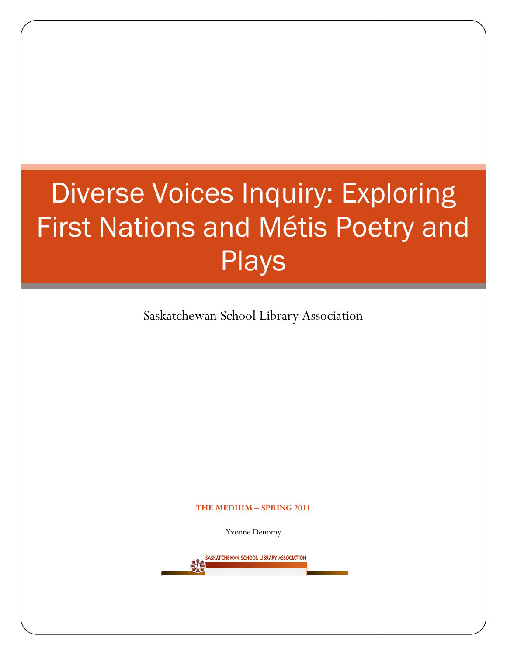# Diverse Voices Inquiry: Exploring First Nations and Métis Poetry and Plays

Saskatchewan School Library Association

THE MEDIUM – SPRING 2011

Yvonne Denomy

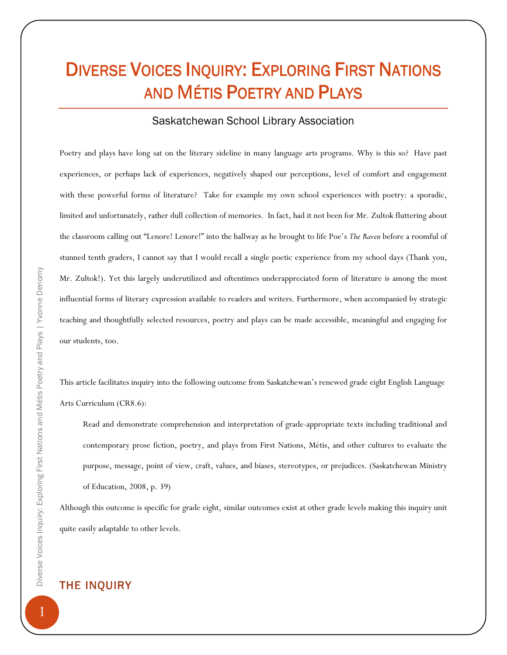# DIVERSE VOICES INQUIRY: EXPLORING FIRST NATIONS AND MÉTIS POETRY AND PLAYS

#### Saskatchewan School Library Association

Poetry and plays have long sat on the literary sideline in many language arts programs. Why is this so? Have past experiences, or perhaps lack of experiences, negatively shaped our perceptions, level of comfort and engagement with these powerful forms of literature? Take for example my own school experiences with poetry: a sporadic, limited and unfortunately, rather dull collection of memories. In fact, had it not been for Mr. Zultok fluttering about the classroom calling out "Lenore! Lenore!" into the hallway as he brought to life Poe's The Raven before a roomful of stunned tenth graders, I cannot say that I would recall a single poetic experience from my school days (Thank you, Mr. Zultok!). Yet this largely underutilized and oftentimes underappreciated form of literature is among the most influential forms of literary expression available to readers and writers. Furthermore, when accompanied by strategic teaching and thoughtfully selected resources, poetry and plays can be made accessible, meaningful and engaging for our students, too.

This article facilitates inquiry into the following outcome from Saskatchewan's renewed grade eight English Language Arts Curriculum (CR8.6):

Read and demonstrate comprehension and interpretation of grade-appropriate texts including traditional and contemporary prose fiction, poetry, and plays from First Nations, Métis, and other cultures to evaluate the purpose, message, point of view, craft, values, and biases, stereotypes, or prejudices. (Saskatchewan Ministry of Education, 2008, p. 39)

Although this outcome is specific for grade eight, similar outcomes exist at other grade levels making this inquiry unit quite easily adaptable to other levels.

#### THE INQUIRY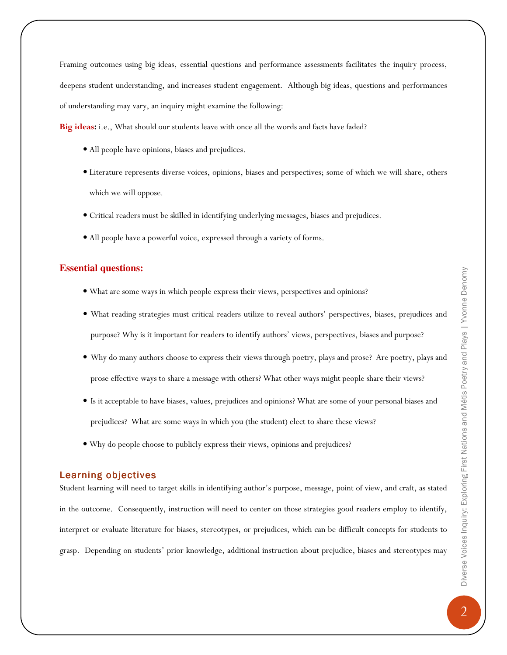Framing outcomes using big ideas, essential questions and performance assessments facilitates the inquiry process, deepens student understanding, and increases student engagement. Although big ideas, questions and performances of understanding may vary, an inquiry might examine the following:

Big ideas: i.e., What should our students leave with once all the words and facts have faded?

- All people have opinions, biases and prejudices.
- Literature represents diverse voices, opinions, biases and perspectives; some of which we will share, others which we will oppose.
- Critical readers must be skilled in identifying underlying messages, biases and prejudices.
- All people have a powerful voice, expressed through a variety of forms.

#### **Essential questions:**

- What are some ways in which people express their views, perspectives and opinions?
- What reading strategies must critical readers utilize to reveal authors' perspectives, biases, prejudices and purpose? Why is it important for readers to identify authors' views, perspectives, biases and purpose?
- Why do many authors choose to express their views through poetry, plays and prose? Are poetry, plays and prose effective ways to share a message with others? What other ways might people share their views?
- Is it acceptable to have biases, values, prejudices and opinions? What are some of your personal biases and prejudices? What are some ways in which you (the student) elect to share these views?
- Why do people choose to publicly express their views, opinions and prejudices?

#### Learning objectives

Student learning will need to target skills in identifying author's purpose, message, point of view, and craft, as stated in the outcome. Consequently, instruction will need to center on those strategies good readers employ to identify, interpret or evaluate literature for biases, stereotypes, or prejudices, which can be difficult concepts for students to grasp. Depending on students' prior knowledge, additional instruction about prejudice, biases and stereotypes may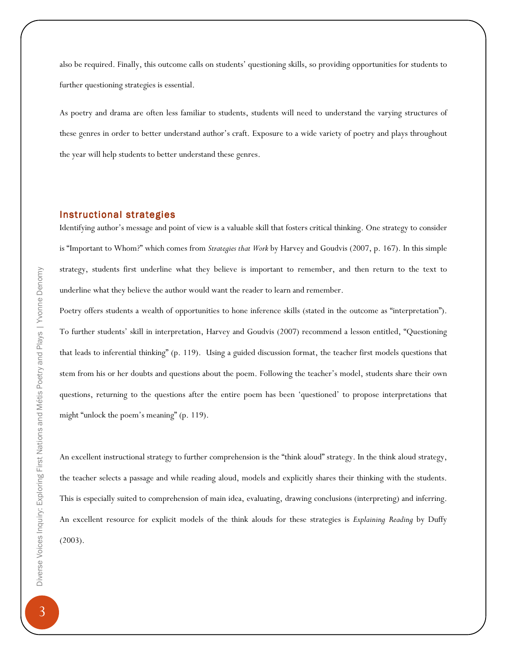also be required. Finally, this outcome calls on students' questioning skills, so providing opportunities for students to further questioning strategies is essential.

As poetry and drama are often less familiar to students, students will need to understand the varying structures of these genres in order to better understand author's craft. Exposure to a wide variety of poetry and plays throughout the year will help students to better understand these genres.

#### Instructional strategies

Identifying author's message and point of view is a valuable skill that fosters critical thinking. One strategy to consider is "Important to Whom?" which comes from Strategies that Work by Harvey and Goudvis (2007, p. 167). In this simple strategy, students first underline what they believe is important to remember, and then return to the text to underline what they believe the author would want the reader to learn and remember.

Poetry offers students a wealth of opportunities to hone inference skills (stated in the outcome as "interpretation"). To further students' skill in interpretation, Harvey and Goudvis (2007) recommend a lesson entitled, "Questioning that leads to inferential thinking" (p. 119). Using a guided discussion format, the teacher first models questions that stem from his or her doubts and questions about the poem. Following the teacher's model, students share their own questions, returning to the questions after the entire poem has been 'questioned' to propose interpretations that might "unlock the poem's meaning" (p. 119).

An excellent instructional strategy to further comprehension is the "think aloud" strategy. In the think aloud strategy, the teacher selects a passage and while reading aloud, models and explicitly shares their thinking with the students. This is especially suited to comprehension of main idea, evaluating, drawing conclusions (interpreting) and inferring. An excellent resource for explicit models of the think alouds for these strategies is Explaining Reading by Duffy (2003).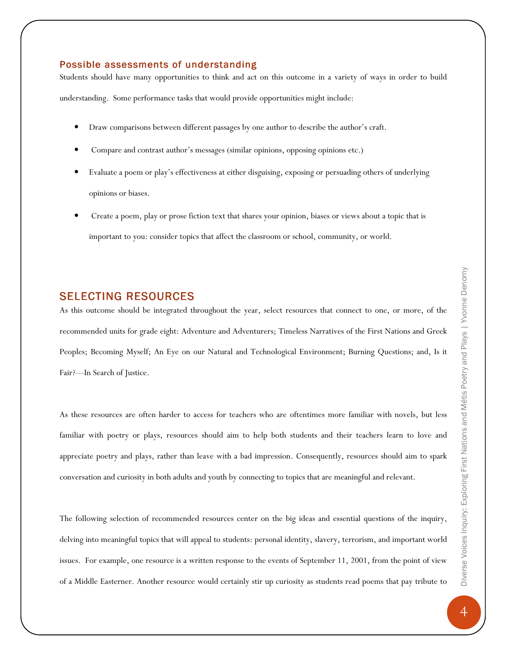#### Possible assessments of understanding

Students should have many opportunities to think and act on this outcome in a variety of ways in order to build understanding. Some performance tasks that would provide opportunities might include:

- Draw comparisons between different passages by one author to describe the author's craft.
- Compare and contrast author's messages (similar opinions, opposing opinions etc.)
- Evaluate a poem or play's effectiveness at either disguising, exposing or persuading others of underlying opinions or biases.
- Create a poem, play or prose fiction text that shares your opinion, biases or views about a topic that is important to you: consider topics that affect the classroom or school, community, or world.

### **SELECTING RESOURCES**

As this outcome should be integrated throughout the year, select resources that connect to one, or more, of the recommended units for grade eight: Adventure and Adventurers; Timeless Narratives of the First Nations and Greek Peoples; Becoming Myself; An Eye on our Natural and Technological Environment; Burning Questions; and, Is it Fair?—In Search of Justice.

As these resources are often harder to access for teachers who are oftentimes more familiar with novels, but less familiar with poetry or plays, resources should aim to help both students and their teachers learn to love and appreciate poetry and plays, rather than leave with a bad impression. Consequently, resources should aim to spark conversation and curiosity in both adults and youth by connecting to topics that are meaningful and relevant.

The following selection of recommended resources center on the big ideas and essential questions of the inquiry, delving into meaningful topics that will appeal to students: personal identity, slavery, terrorism, and important world issues. For example, one resource is a written response to the events of September 11, 2001, from the point of view of a Middle Easterner. Another resource would certainly stir up curiosity as students read poems that pay tribute to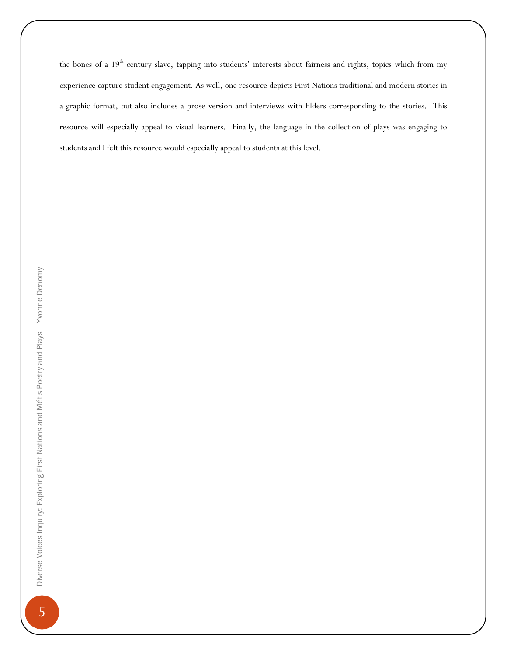the bones of a 19<sup>th</sup> century slave, tapping into students' interests about fairness and rights, topics which from my experience capture student engagement. As well, one resource depicts First Nations traditional and modern stories in a graphic format, but also includes a prose version and interviews with Elders corresponding to the stories. This resource will especially appeal to visual learners. Finally, the language in the collection of plays was engaging to students and I felt this resource would especially appeal to students at this level.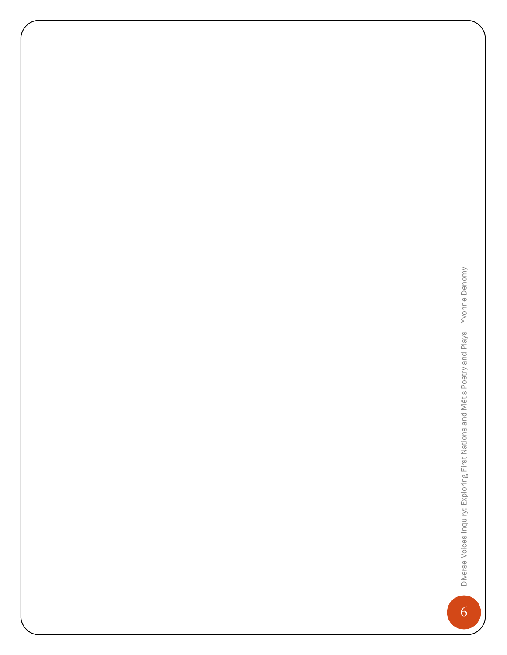Diverse Voices Inquiry: Exploring First Nations and Métis Poetry and Plays | Yvonne Denomy **5** Diverse Voices Inquiry: Exploring First Nations and Métis Poetry and Plays | Yvonne Denomy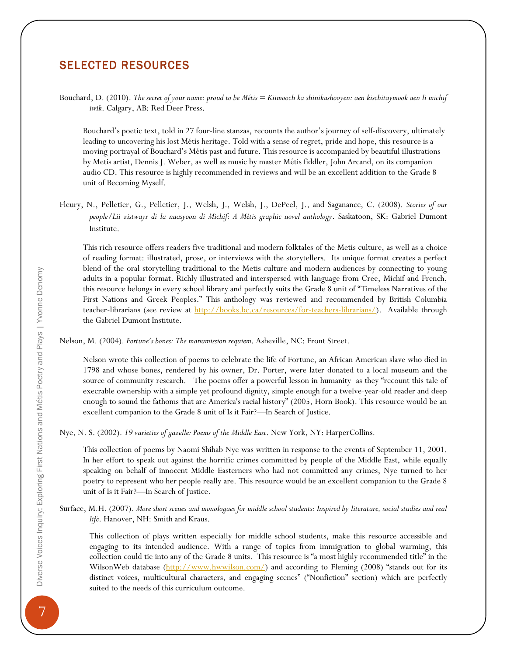## **SELECTED RESOURCES**

Bouchard, D. (2010). The secret of your name: proud to be Métis  $=$  Kiimooch ka shinikashooyen: aen kischitaymook aen li michif iwik. Calgary, AB: Red Deer Press.

Bouchard's poetic text, told in 27 four-line stanzas, recounts the author's journey of self-discovery, ultimately leading to uncovering his lost Métis heritage. Told with a sense of regret, pride and hope, this resource is a moving portrayal of Bouchard's Métis past and future. This resource is accompanied by beautiful illustrations by Metis artist, Dennis J. Weber, as well as music by master Métis fiddler, John Arcand, on its companion audio CD. This resource is highly recommended in reviews and will be an excellent addition to the Grade 8 unit of Becoming Myself.

Fleury, N., Pelletier, G., Pelletier, J., Welsh, J., Welsh, J., DePeel, J., and Saganance, C. (2008). Stories of our people/Lii zistwayr di la naasyoon di Michif: A Métis graphic novel anthology. Saskatoon, SK: Gabriel Dumont Institute.

This rich resource offers readers five traditional and modern folktales of the Metis culture, as well as a choice of reading format: illustrated, prose, or interviews with the storytellers. Its unique format creates a perfect blend of the oral storytelling traditional to the Metis culture and modern audiences by connecting to young adults in a popular format. Richly illustrated and interspersed with language from Cree, Michif and French, this resource belongs in every school library and perfectly suits the Grade 8 unit of "Timeless Narratives of the First Nations and Greek Peoples." This anthology was reviewed and recommended by British Columbia teacher-librarians (see review at http://books.bc.ca/resources/for-teachers-librarians/). Available through the Gabriel Dumont Institute.

Nelson, M. (2004). Fortune's bones: The manumission requiem. Asheville, NC: Front Street.

Nelson wrote this collection of poems to celebrate the life of Fortune, an African American slave who died in 1798 and whose bones, rendered by his owner, Dr. Porter, were later donated to a local museum and the source of community research. The poems offer a powerful lesson in humanity as they "recount this tale of execrable ownership with a simple yet profound dignity, simple enough for a twelve-year-old reader and deep enough to sound the fathoms that are America's racial history" (2005, Horn Book). This resource would be an excellent companion to the Grade 8 unit of Is it Fair?—In Search of Justice.

Nye, N. S. (2002). 19 varieties of gazelle: Poems of the Middle East. New York, NY: HarperCollins.

This collection of poems by Naomi Shihab Nye was written in response to the events of September 11, 2001. In her effort to speak out against the horrific crimes committed by people of the Middle East, while equally speaking on behalf of innocent Middle Easterners who had not committed any crimes, Nye turned to her poetry to represent who her people really are. This resource would be an excellent companion to the Grade 8 unit of Is it Fair?—In Search of Justice.

Surface, M.H. (2007). More short scenes and monologues for middle school students: Inspired by literature, social studies and real life. Hanover, NH: Smith and Kraus.

This collection of plays written especially for middle school students, make this resource accessible and engaging to its intended audience. With a range of topics from immigration to global warming, this collection could tie into any of the Grade 8 units. This resource is "a most highly recommended title" in the WilsonWeb database (http://www.hwwilson.com/) and according to Fleming (2008) "stands out for its distinct voices, multicultural characters, and engaging scenes" ("Nonfiction" section) which are perfectly suited to the needs of this curriculum outcome.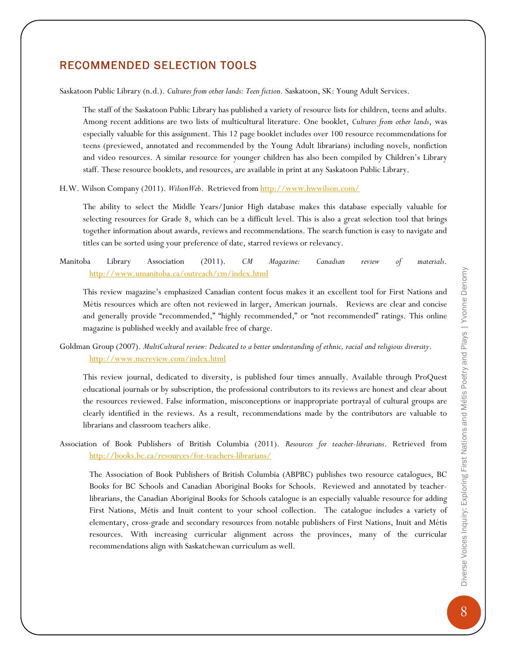# RECOMMENDED SELECTION TOOLS

Saskatoon Public Library (n.d.). Cultures from other lands: Teen fiction. Saskatoon, SK: Young Adult Services.

The staff of the Saskatoon Public Library has published a variety of resource lists for children, teens and adults. Among recent additions are two lists of multicultural literature. One booklet, Cultures from other lands, was especially valuable for this assignment. This 12 page booklet includes over 100 resource recommendations for teens (previewed, annotated and recommended by the Young Adult librarians) including novels, nonfiction and video resources. A similar resource for younger children has also been compiled by Children's Library staff. These resource booklets, and resources, are available in print at any Saskatoon Public Library.

H.W. Wilson Company (2011). WilsonWeb. Retrieved from http://www.hwwilson.com/

The ability to select the Middle Years/Junior High database makes this database especially valuable for selecting resources for Grade 8, which can be a difficult level. This is also a great selection tool that brings together information about awards, reviews and recommendations. The search function is easy to navigate and titles can be sorted using your preference of date, starred reviews or relevancy.

Manitoba Library Association (2011). CM Magazine: Canadian review of materials. http://www.umanitoba.ca/outreach/cm/index.html

This review magazine's emphasized Canadian content focus makes it an excellent tool for First Nations and Métis resources which are often not reviewed in larger, American journals. Reviews are clear and concise and generally provide "recommended," "highly recommended," or "not recommended" ratings. This online magazine is published weekly and available free of charge.

Goldman Group (2007). MultiCultural review: Dedicated to a better understanding of ethnic, racial and religious diversity. http://www.mcreview.com/index.html

This review journal, dedicated to diversity, is published four times annually. Available through ProQuest educational journals or by subscription, the professional contributors to its reviews are honest and clear about the resources reviewed. False information, misconceptions or inappropriate portrayal of cultural groups are clearly identified in the reviews. As a result, recommendations made by the contributors are valuable to librarians and classroom teachers alike.

Association of Book Publishers of British Columbia (2011). Resources for teacher-librarians. Retrieved from http://books.bc.ca/resources/for-teachers-librarians/

The Association of Book Publishers of British Columbia (ABPBC) publishes two resource catalogues, BC Books for BC Schools and Canadian Aboriginal Books for Schools. Reviewed and annotated by teacherlibrarians, the Canadian Aboriginal Books for Schools catalogue is an especially valuable resource for adding First Nations, Métis and Inuit content to your school collection. The catalogue includes a variety of elementary, cross-grade and secondary resources from notable publishers of First Nations, Inuit and Métis resources. With increasing curricular alignment across the provinces, many of the curricular recommendations align with Saskatchewan curriculum as well.